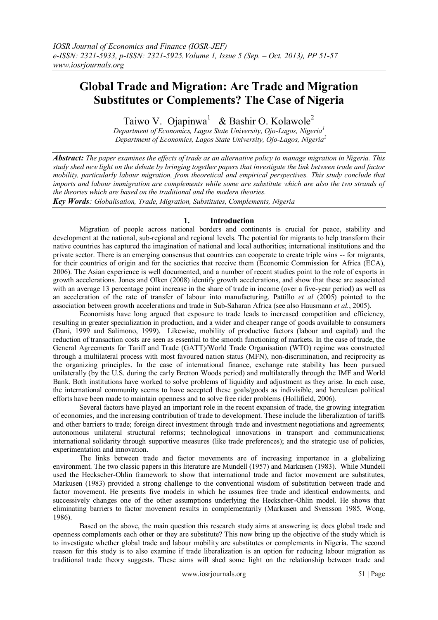# **Global Trade and Migration: Are Trade and Migration Substitutes or Complements? The Case of Nigeria**

Taiwo V. Ojapinwa<sup>1</sup> & Bashir O. Kolawole<sup>2</sup>

*Department of Economics, Lagos State University, Ojo-Lagos, Nigeria<sup>1</sup> Department of Economics, Lagos State University, Ojo-Lagos, Nigeria<sup>2</sup>*

*Abstract: The paper examines the effects of trade as an alternative policy to manage migration in Nigeria. This study shed new light on the debate by bringing together papers that investigate the link between trade and factor mobility, particularly labour migration, from theoretical and empirical perspectives. This study conclude that imports and labour immigration are complements while some are substitute which are also the two strands of the theories which are based on the traditional and the modern theories.*

*Key Words: Globalisation, Trade, Migration, Substitutes, Complements, Nigeria*

# **1. Introduction**

Migration of people across national borders and continents is crucial for peace, stability and development at the national, sub-regional and regional levels. The potential for migrants to help transform their native countries has captured the imagination of national and local authorities; international institutions and the private sector. There is an emerging consensus that countries can cooperate to create triple wins -- for migrants, for their countries of origin and for the societies that receive them (Economic Commission for Africa (ECA), 2006). The Asian experience is well documented, and a number of recent studies point to the role of exports in growth accelerations. Jones and Olken (2008) identify growth accelerations, and show that these are associated with an average 13 percentage point increase in the share of trade in income (over a five-year period) as well as an acceleration of the rate of transfer of labour into manufacturing. Pattillo *et al* (2005) pointed to the association between growth accelerations and trade in Sub-Saharan Africa (see also Hausmann *et al.*, 2005).

Economists have long argued that exposure to trade leads to increased competition and efficiency, resulting in greater specialization in production, and a wider and cheaper range of goods available to consumers (Dani, 1999 and Salimono, 1999). Likewise, mobility of productive factors (labour and capital) and the reduction of transaction costs are seen as essential to the smooth functioning of markets. In the case of trade, the General Agreements for Tariff and Trade (GATT)/World Trade Organisation (WTO) regime was constructed through a multilateral process with most favoured nation status (MFN), non-discrimination, and reciprocity as the organizing principles. In the case of international finance, exchange rate stability has been pursued unilaterally (by the U.S. during the early Bretton Woods period) and multilaterally through the IMF and World Bank. Both institutions have worked to solve problems of liquidity and adjustment as they arise. In each case, the international community seems to have accepted these goals/goods as indivisible, and herculean political efforts have been made to maintain openness and to solve free rider problems (Hollifield, 2006).

Several factors have played an important role in the recent expansion of trade, the growing integration of economies, and the increasing contribution of trade to development. These include the liberalization of tariffs and other barriers to trade; foreign direct investment through trade and investment negotiations and agreements; autonomous unilateral structural reforms; technological innovations in transport and communications; international solidarity through supportive measures (like trade preferences); and the strategic use of policies, experimentation and innovation.

The links between trade and factor movements are of increasing importance in a globalizing environment. The two classic papers in this literature are Mundell (1957) and Markusen (1983). While Mundell used the Heckscher-Ohlin framework to show that international trade and factor movement are substitutes, Markusen (1983) provided a strong challenge to the conventional wisdom of substitution between trade and factor movement. He presents five models in which he assumes free trade and identical endowments, and successively changes one of the other assumptions underlying the Heckscher-Ohlin model. He shows that eliminating barriers to factor movement results in complementarily (Markusen and Svensson 1985, Wong, 1986).

Based on the above, the main question this research study aims at answering is; does global trade and openness complements each other or they are substitute? This now bring up the objective of the study which is to investigate whether global trade and labour mobility are substitutes or complements in Nigeria. The second reason for this study is to also examine if trade liberalization is an option for reducing labour migration as traditional trade theory suggests. These aims will shed some light on the relationship between trade and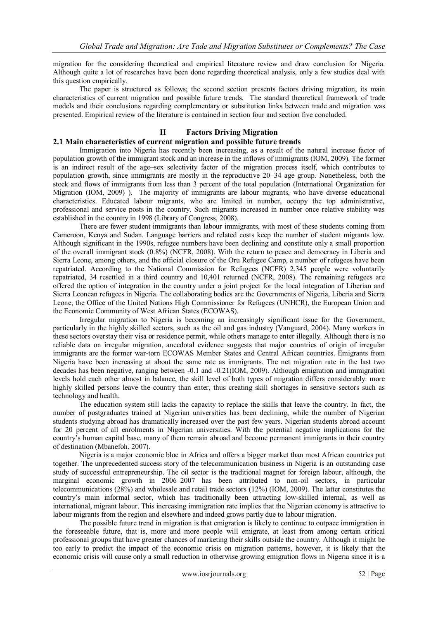migration for the considering theoretical and empirical literature review and draw conclusion for Nigeria. Although quite a lot of researches have been done regarding theoretical analysis, only a few studies deal with this question empirically.

The paper is structured as follows; the second section presents factors driving migration, its main characteristics of current migration and possible future trends. The standard theoretical framework of trade models and their conclusions regarding complementary or substitution links between trade and migration was presented. Empirical review of the literature is contained in section four and section five concluded.

## **II Factors Driving Migration**

## **2.1 Main characteristics of current migration and possible future trends**

Immigration into Nigeria has recently been increasing, as a result of the natural increase factor of population growth of the immigrant stock and an increase in the inflows of immigrants (IOM, 2009). The former is an indirect result of the age–sex selectivity factor of the migration process itself, which contributes to population growth, since immigrants are mostly in the reproductive 20–34 age group. Nonetheless, both the stock and flows of immigrants from less than 3 percent of the total population (International Organization for Migration (IOM, 2009) ). The majority of immigrants are labour migrants, who have diverse educational characteristics. Educated labour migrants, who are limited in number, occupy the top administrative, professional and service posts in the country. Such migrants increased in number once relative stability was established in the country in 1998 (Library of Congress, 2008).

There are fewer student immigrants than labour immigrants, with most of these students coming from Cameroon, Kenya and Sudan. Language barriers and related costs keep the number of student migrants low. Although significant in the 1990s, refugee numbers have been declining and constitute only a small proportion of the overall immigrant stock (0.8%) (NCFR, 2008). With the return to peace and democracy in Liberia and Sierra Leone, among others, and the official closure of the Oru Refugee Camp, a number of refugees have been repatriated. According to the National Commission for Refugees (NCFR) 2,345 people were voluntarily repatriated, 34 resettled in a third country and 10,401 returned (NCFR, 2008). The remaining refugees are offered the option of integration in the country under a joint project for the local integration of Liberian and Sierra Leonean refugees in Nigeria. The collaborating bodies are the Governments of Nigeria, Liberia and Sierra Leone, the Office of the United Nations High Commissioner for Refugees (UNHCR), the European Union and the Economic Community of West African States (ECOWAS).

Irregular migration to Nigeria is becoming an increasingly significant issue for the Government, particularly in the highly skilled sectors, such as the oil and gas industry (Vanguard, 2004). Many workers in these sectors overstay their visa or residence permit, while others manage to enter illegally. Although there is no reliable data on irregular migration, anecdotal evidence suggests that major countries of origin of irregular immigrants are the former war-torn ECOWAS Member States and Central African countries. Emigrants from Nigeria have been increasing at about the same rate as immigrants. The net migration rate in the last two decades has been negative, ranging between -0.1 and -0.21(IOM, 2009). Although emigration and immigration levels hold each other almost in balance, the skill level of both types of migration differs considerably: more highly skilled persons leave the country than enter, thus creating skill shortages in sensitive sectors such as technology and health.

The education system still lacks the capacity to replace the skills that leave the country. In fact, the number of postgraduates trained at Nigerian universities has been declining, while the number of Nigerian students studying abroad has dramatically increased over the past few years. Nigerian students abroad account for 20 percent of all enrolments in Nigerian universities. With the potential negative implications for the country"s human capital base, many of them remain abroad and become permanent immigrants in their country of destination (Mbanefoh, 2007).

Nigeria is a major economic bloc in Africa and offers a bigger market than most African countries put together. The unprecedented success story of the telecommunication business in Nigeria is an outstanding case study of successful entrepreneurship. The oil sector is the traditional magnet for foreign labour, although, the marginal economic growth in 2006–2007 has been attributed to non-oil sectors, in particular telecommunications (28%) and wholesale and retail trade sectors (12%) (IOM, 2009). The latter constitutes the country"s main informal sector, which has traditionally been attracting low-skilled internal, as well as international, migrant labour. This increasing immigration rate implies that the Nigerian economy is attractive to labour migrants from the region and elsewhere and indeed grows partly due to labour migration.

The possible future trend in migration is that emigration is likely to continue to outpace immigration in the foreseeable future, that is, more and more people will emigrate, at least from among certain critical professional groups that have greater chances of marketing their skills outside the country. Although it might be too early to predict the impact of the economic crisis on migration patterns, however, it is likely that the economic crisis will cause only a small reduction in otherwise growing emigration flows in Nigeria since it is a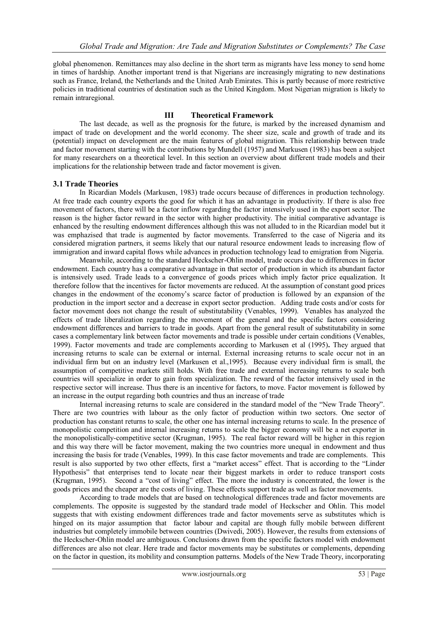global phenomenon. Remittances may also decline in the short term as migrants have less money to send home in times of hardship. Another important trend is that Nigerians are increasingly migrating to new destinations such as France, Ireland, the Netherlands and the United Arab Emirates. This is partly because of more restrictive policies in traditional countries of destination such as the United Kingdom. Most Nigerian migration is likely to remain intraregional.

# **III Theoretical Framework**

The last decade, as well as the prognosis for the future, is marked by the increased dynamism and impact of trade on development and the world economy. The sheer size, scale and growth of trade and its (potential) impact on development are the main features of global migration. This relationship between trade and factor movement starting with the contributions by Mundell (1957) and Markusen (1983) has been a subject for many researchers on a theoretical level. In this section an overview about different trade models and their implications for the relationship between trade and factor movement is given.

# **3.1 Trade Theories**

In Ricardian Models (Markusen, 1983) trade occurs because of differences in production technology. At free trade each country exports the good for which it has an advantage in productivity. If there is also free movement of factors, there will be a factor inflow regarding the factor intensively used in the export sector. The reason is the higher factor reward in the sector with higher productivity. The initial comparative advantage is enhanced by the resulting endowment differences although this was not alluded to in the Ricardian model but it was emphazised that trade is augmented by factor movements. Transferred to the case of Nigeria and its considered migration partners, it seems likely that our natural resource endowment leads to increasing flow of immigration and inward capital flows while advances in production technology lead to emigration from Nigeria.

Meanwhile, according to the standard Heckscher-Ohlin model, trade occurs due to differences in factor endowment. Each country has a comparative advantage in that sector of production in which its abundant factor is intensively used. Trade leads to a convergence of goods prices which imply factor price equalization. It therefore follow that the incentives for factor movements are reduced. At the assumption of constant good prices changes in the endowment of the economy"s scarce factor of production is followed by an expansion of the production in the import sector and a decrease in export sector production. Adding trade costs and/or costs for factor movement does not change the result of substitutability (Venables, 1999). Venables has analyzed the effects of trade liberalization regarding the movement of the general and the specific factors considering endowment differences and barriers to trade in goods. Apart from the general result of substitutability in some cases a complementary link between factor movements and trade is possible under certain conditions (Venables, 1999). Factor movements and trade are complements according to Markusen et al (1995)**.** They argued that increasing returns to scale can be external or internal. External increasing returns to scale occur not in an individual firm but on an industry level (Markusen et al.,1995). Because every individual firm is small, the assumption of competitive markets still holds. With free trade and external increasing returns to scale both countries will specialize in order to gain from specialization. The reward of the factor intensively used in the respective sector will increase. Thus there is an incentive for factors, to move. Factor movement is followed by an increase in the output regarding both countries and thus an increase of trade

Internal increasing returns to scale are considered in the standard model of the "New Trade Theory". There are two countries with labour as the only factor of production within two sectors. One sector of production has constant returns to scale, the other one has internal increasing returns to scale. In the presence of monopolistic competition and internal increasing returns to scale the bigger economy will be a net exporter in the monopolistically-competitive sector (Krugman, 1995). The real factor reward will be higher in this region and this way there will be factor movement, making the two countries more unequal in endowment and thus increasing the basis for trade (Venables, 1999). In this case factor movements and trade are complements. This result is also supported by two other effects, first a "market access" effect. That is according to the "Linder Hypothesis" that enterprises tend to locate near their biggest markets in order to reduce transport costs (Krugman, 1995). Second a "cost of living" effect. The more the industry is concentrated, the lower is the goods prices and the cheaper are the costs of living. These effects support trade as well as factor movements.

According to trade models that are based on technological differences trade and factor movements are complements. The opposite is suggested by the standard trade model of Heckscher and Ohlin. This model suggests that with existing endowment differences trade and factor movements serve as substitutes which is hinged on its major assumption that factor labour and capital are though fully mobile between different industries but completely immobile between countries (Dwivedi, 2005). However, the results from extensions of the Heckscher-Ohlin model are ambiguous. Conclusions drawn from the specific factors model with endowment differences are also not clear. Here trade and factor movements may be substitutes or complements, depending on the factor in question, its mobility and consumption patterns. Models of the New Trade Theory, incorporating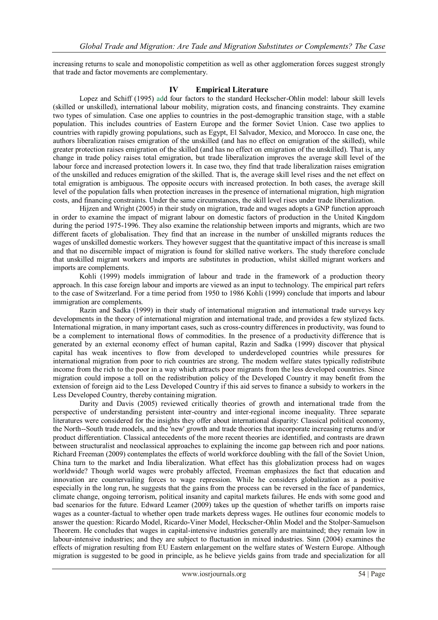increasing returns to scale and monopolistic competition as well as other agglomeration forces suggest strongly that trade and factor movements are complementary.

## **IV Empirical Literature**

Lopez and Schiff (1995) add four factors to the standard Heckscher-Ohlin model: labour skill levels (skilled or unskilled), international labour mobility, migration costs, and financing constraints. They examine two types of simulation. Case one applies to countries in the post-demographic transition stage, with a stable population. This includes countries of Eastern Europe and the former Soviet Union. Case two applies to countries with rapidly growing populations, such as Egypt, El Salvador, Mexico, and Morocco. In case one, the authors liberalization raises emigration of the unskilled (and has no effect on emigration of the skilled), while greater protection raises emigration of the skilled (and has no effect on emigration of the unskilled). That is, any change in trade policy raises total emigration, but trade liberalization improves the average skill level of the labour force and increased protection lowers it. In case two, they find that trade liberalization raises emigration of the unskilled and reduces emigration of the skilled. That is, the average skill level rises and the net effect on total emigration is ambiguous. The opposite occurs with increased protection. In both cases, the average skill level of the population falls when protection increases in the presence of international migration, high migration costs, and financing constraints. Under the same circumstances, the skill level rises under trade liberalization.

Hijzen and Wright (2005) in their study on migration, trade and wages adopts a GNP function approach in order to examine the impact of migrant labour on domestic factors of production in the United Kingdom during the period 1975-1996. They also examine the relationship between imports and migrants, which are two different facets of globalisation. They find that an increase in the number of unskilled migrants reduces the wages of unskilled domestic workers. They however suggest that the quantitative impact of this increase is small and that no discernible impact of migration is found for skilled native workers. The study therefore conclude that unskilled migrant workers and imports are substitutes in production, whilst skilled migrant workers and imports are complements.

Kohli (1999) models immigration of labour and trade in the framework of a production theory approach. In this case foreign labour and imports are viewed as an input to technology. The empirical part refers to the case of Switzerland. For a time period from 1950 to 1986 Kohli (1999) conclude that imports and labour immigration are complements.

Razin and Sadka (1999) in their study of international migration and international trade surveys key developments in the theory of international migration and international trade, and provides a few stylized facts. International migration, in many important cases, such as cross-country differences in productivity, was found to be a complement to international flows of commodities. In the presence of a productivity difference that is generated by an external economy effect of human capital, Razin and Sadka (1999) discover that physical capital has weak incentives to flow from developed to underdeveloped countries while pressures for international migration from poor to rich countries are strong. The modem welfare states typically redistribute income from the rich to the poor in a way which attracts poor migrants from the less developed countries. Since migration could impose a toll on the redistribution policy of the Developed Country it may benefit from the extension of foreign aid to the Less Developed Country if this aid serves to finance a subsidy to workers in the Less Developed Country, thereby containing migration.

Darity and Davis (2005) reviewed critically theories of growth and international trade from the perspective of understanding persistent inter-country and inter-regional income inequality. Three separate literatures were considered for the insights they offer about international disparity: Classical political economy, the North--South trade models, and the 'new' growth and trade theories that incorporate increasing returns and/or product differentiation. Classical antecedents of the more recent theories are identified, and contrasts are drawn between structuralist and neoclassical approaches to explaining the income gap between rich and poor nations. Richard Freeman (2009) contemplates the effects of world workforce doubling with the fall of the Soviet Union, China turn to the market and India liberalization. What effect has this globalization process had on wages worldwide? Though world wages were probably affected, Freeman emphasizes the fact that education and innovation are countervailing forces to wage repression. While he considers globalization as a positive especially in the long run, he suggests that the gains from the process can be reversed in the face of pandemics, climate change, ongoing terrorism, political insanity and capital markets failures. He ends with some good and bad scenarios for the future. Edward Leamer (2009) takes up the question of whether tariffs on imports raise wages as a counter-factual to whether open trade markets depress wages. He outlines four economic models to answer the question: Ricardo Model, Ricardo-Viner Model, Heckscher-Ohlin Model and the Stolper-Samuelson Theorem. He concludes that wages in capital-intensive industries generally are maintained; they remain low in labour-intensive industries; and they are subject to fluctuation in mixed industries. Sinn (2004) examines the effects of migration resulting from EU Eastern enlargement on the welfare states of Western Europe. Although migration is suggested to be good in principle, as he believe yields gains from trade and specialization for all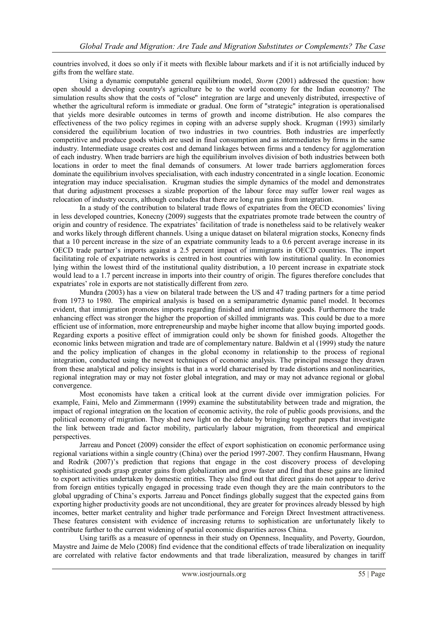countries involved, it does so only if it meets with flexible labour markets and if it is not artificially induced by gifts from the welfare state.

Using a dynamic computable general equilibrium model, *Storm* (2001) addressed the question: how open should a developing country's agriculture be to the world economy for the Indian economy? The simulation results show that the costs of "close" integration are large and unevenly distributed, irrespective of whether the agricultural reform is immediate or gradual. One form of "strategic" integration is operationalised that yields more desirable outcomes in terms of growth and income distribution. He also compares the effectiveness of the two policy regimes in coping with an adverse supply shock. Krugman (1993) similarly considered the equilibrium location of two industries in two countries. Both industries are imperfectly competitive and produce goods which are used in final consumption and as intermediates by firms in the same industry. Intermediate usage creates cost and demand linkages between firms and a tendency for agglomeration of each industry. When trade barriers are high the equilibrium involves division of both industries between both locations in order to meet the final demands of consumers. At lower trade barriers agglomeration forces dominate the equilibrium involves specialisation, with each industry concentrated in a single location. Economic integration may induce specialisation. Krugman studies the simple dynamics of the model and demonstrates that during adjustment processes a sizable proportion of the labour force may suffer lower real wages as relocation of industry occurs, although concludes that there are long run gains from integration.

In a study of the contribution to bilateral trade flows of expatriates from the OECD economies" living in less developed countries, Konecny (2009) suggests that the expatriates promote trade between the country of origin and country of residence. The expatriates" facilitation of trade is nonetheless said to be relatively weaker and works likely through different channels. Using a unique dataset on bilateral migration stocks, Konecny finds that a 10 percent increase in the size of an expatriate community leads to a 0.6 percent average increase in its OECD trade partner"s imports against a 2.5 percent impact of immigrants in OECD countries. The import facilitating role of expatriate networks is centred in host countries with low institutional quality. In economies lying within the lowest third of the institutional quality distribution, a 10 percent increase in expatriate stock would lead to a 1.7 percent increase in imports into their country of origin. The figures therefore concludes that expatriates' role in exports are not statistically different from zero.

Mundra (2003) has a view on bilateral trade between the US and 47 trading partners for a time period from 1973 to 1980. The empirical analysis is based on a semiparametric dynamic panel model. It becomes evident, that immigration promotes imports regarding finished and intermediate goods. Furthermore the trade enhancing effect was stronger the higher the proportion of skilled immigrants was. This could be due to a more efficient use of information, more entrepreneurship and maybe higher income that allow buying imported goods. Regarding exports a positive effect of immigration could only be shown for finished goods. Altogether the economic links between migration and trade are of complementary nature. Baldwin et al (1999) study the nature and the policy implication of changes in the global economy in relationship to the process of regional integration, conducted using the newest techniques of economic analysis. The principal message they drawn from these analytical and policy insights is that in a world characterised by trade distortions and nonlinearities, regional integration may or may not foster global integration, and may or may not advance regional or global convergence.

Most economists have taken a critical look at the current divide over immigration policies. For example, Faini, Melo and Zimmermann (1999) examine the substitutability between trade and migration, the impact of regional integration on the location of economic activity, the role of public goods provisions, and the political economy of migration. They shed new light on the debate by bringing together papers that investigate the link between trade and factor mobility, particularly labour migration, from theoretical and empirical perspectives.

Jarreau and Poncet (2009) consider the effect of export sophistication on economic performance using regional variations within a single country (China) over the period 1997-2007. They confirm Hausmann, Hwang and Rodrik (2007)"s prediction that regions that engage in the cost discovery process of developing sophisticated goods grasp greater gains from globalization and grow faster and find that these gains are limited to export activities undertaken by domestic entities. They also find out that direct gains do not appear to derive from foreign entities typically engaged in processing trade even though they are the main contributors to the global upgrading of China"s exports. Jarreau and Poncet findings globally suggest that the expected gains from exporting higher productivity goods are not unconditional, they are greater for provinces already blessed by high incomes, better market centrality and higher trade performance and Foreign Direct Investment attractiveness. These features consistent with evidence of increasing returns to sophistication are unfortunately likely to contribute further to the current widening of spatial economic disparities across China.

Using tariffs as a measure of openness in their study on Openness, Inequality, and Poverty, Gourdon, Maystre and Jaime de Melo (2008) find evidence that the conditional effects of trade liberalization on inequality are correlated with relative factor endowments and that trade liberalization, measured by changes in tariff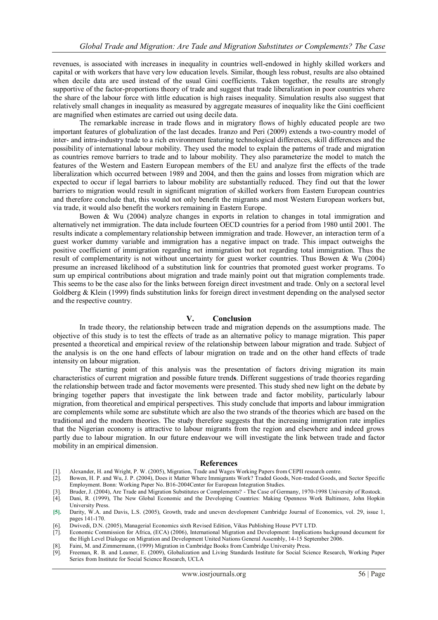revenues, is associated with increases in inequality in countries well-endowed in highly skilled workers and capital or with workers that have very low education levels. Similar, though less robust, results are also obtained when decile data are used instead of the usual Gini coefficients. Taken together, the results are strongly supportive of the factor-proportions theory of trade and suggest that trade liberalization in poor countries where the share of the labour force with little education is high raises inequality. Simulation results also suggest that relatively small changes in inequality as measured by aggregate measures of inequality like the Gini coefficient are magnified when estimates are carried out using decile data.

The remarkable increase in trade flows and in migratory flows of highly educated people are two important features of globalization of the last decades. Iranzo and Peri (2009) extends a two-country model of inter- and intra-industry trade to a rich environment featuring technological differences, skill differences and the possibility of international labour mobility. They used the model to explain the patterns of trade and migration as countries remove barriers to trade and to labour mobility. They also parameterize the model to match the features of the Western and Eastern European members of the EU and analyze first the effects of the trade liberalization which occurred between 1989 and 2004, and then the gains and losses from migration which are expected to occur if legal barriers to labour mobility are substantially reduced. They find out that the lower barriers to migration would result in significant migration of skilled workers from Eastern European countries and therefore conclude that, this would not only benefit the migrants and most Western European workers but, via trade, it would also benefit the workers remaining in Eastern Europe.

Bowen & Wu (2004) analyze changes in exports in relation to changes in total immigration and alternatively net immigration. The data include fourteen OECD countries for a period from 1980 until 2001. The results indicate a complementary relationship between immigration and trade. However, an interaction term of a guest worker dummy variable and immigration has a negative impact on trade. This impact outweighs the positive coefficient of immigration regarding net immigration but not regarding total immigration. Thus the result of complementarity is not without uncertainty for guest worker countries. Thus Bowen & Wu (2004) presume an increased likelihood of a substitution link for countries that promoted guest worker programs. To sum up empirical contributions about migration and trade mainly point out that migration complements trade. This seems to be the case also for the links between foreign direct investment and trade. Only on a sectoral level Goldberg & Klein (1999) finds substitution links for foreign direct investment depending on the analysed sector and the respective country.

### **V. Conclusion**

In trade theory, the relationship between trade and migration depends on the assumptions made. The objective of this study is to test the effects of trade as an alternative policy to manage migration. This paper presented a theoretical and empirical review of the relationship between labour migration and trade. Subject of the analysis is on the one hand effects of labour migration on trade and on the other hand effects of trade intensity on labour migration.

The starting point of this analysis was the presentation of factors driving migration its main characteristics of current migration and possible future trend**s**. Different suggestions of trade theories regarding the relationship between trade and factor movements were presented. This study shed new light on the debate by bringing together papers that investigate the link between trade and factor mobility, particularly labour migration, from theoretical and empirical perspectives. This study conclude that imports and labour immigration are complements while some are substitute which are also the two strands of the theories which are based on the traditional and the modern theories. The study therefore suggests that the increasing immigration rate implies that the Nigerian economy is attractive to labour migrants from the region and elsewhere and indeed grows partly due to labour migration. In our future endeavour we will investigate the link between trade and factor mobility in an empirical dimension.

#### **References**

- [1]. [Alexander, H.](http://econpapers.repec.org/RAS/phi32.htm) and Wright, P. W. (2005), Migration, Trade and Wage[s Working Papers](http://econpapers.repec.org/paper/ciicepidt/) fro[m CEPII research centr](http://www.cepii.fr/)e.
- [2]. Bowen, H. P. and Wu, J. P. (2004), Does it Matter Where Immigrants Work? Traded Goods, Non-traded Goods, and Sector Specific Employment. Bonn: Working Paper No. B16-2004Center for European Integration Studies.
- [3]. Bruder, J. (2004), Are Trade and Migration Substitutes or Complements? The Case of Germany, 1970-1998 University of Rostock.<br>[4]. Dani, R. (1999), The New Global Economic and the Developing Countries: Making Opennes
- [4]. Dani, R. (1999), The New Global Economic and the Developing Countries: Making Openness Work Baltimore, John Hopkin University Press.
- **[5].** Darity, W.A. and Davis, L.S. (2005), Growth, trade and uneven development [Cambridge Journal of Economics,](http://econpapers.repec.org/article/oupcambje/) vol. 29, issue 1, pages 141-170.
- [6]. Dwivedi, D.N. (2005), Managerial Economics sixth Revised Edition, Vikas Publishing House PVT LTD.
- [7]. Economic Commission for Africa, (ECA) (2006), International Migration and Development: Implications background document for the High Level Dialogue on Migration and Development United Nations General Assembly, 14-15 September 2006.
- [8]. Faini, M. and Zimmermann, (1999) Migration i[n Cambridge Books](http://econpapers.repec.org/bookchap/cupcbooks/) fro[m Cambridge University Press.](http://www.cambridge.org/)
- [9]. [Freeman,](http://econpapers.repec.org/RAS/pfr23.htm) R. B. and Leamer, E. (2009), Globalization and Living Standards [Institute for Social Science Research, Working Paper](http://econpapers.repec.org/paper/cdlissres/)  [Series](http://econpapers.repec.org/paper/cdlissres/) fro[m Institute for Social Science Research, UCLA](http://www.escholarship.org/repec/issr/)